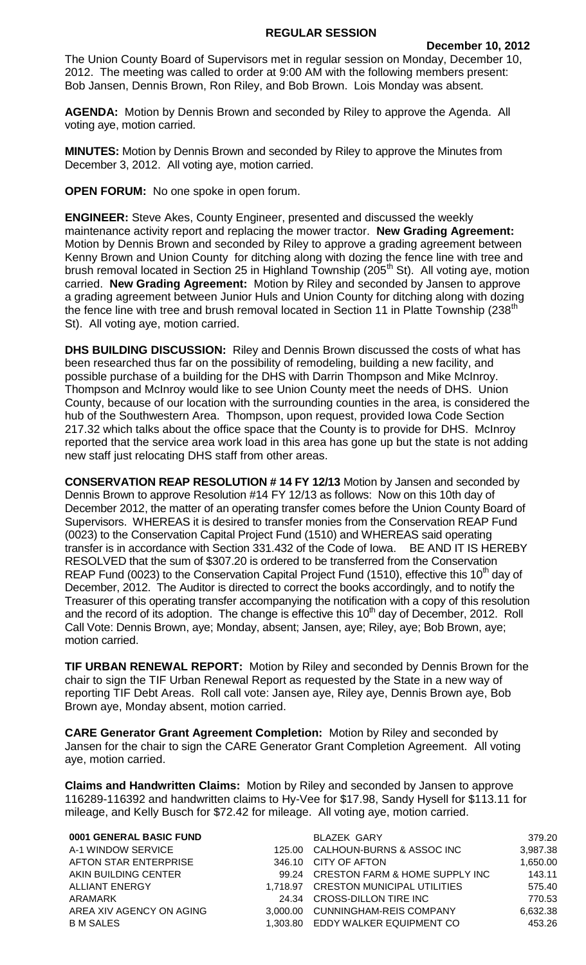## **REGULAR SESSION**

The Union County Board of Supervisors met in regular session on Monday, December 10, 2012. The meeting was called to order at 9:00 AM with the following members present: Bob Jansen, Dennis Brown, Ron Riley, and Bob Brown. Lois Monday was absent.

**AGENDA:** Motion by Dennis Brown and seconded by Riley to approve the Agenda. All voting aye, motion carried.

**MINUTES:** Motion by Dennis Brown and seconded by Riley to approve the Minutes from December 3, 2012. All voting aye, motion carried.

**OPEN FORUM:** No one spoke in open forum.

**ENGINEER:** Steve Akes, County Engineer, presented and discussed the weekly maintenance activity report and replacing the mower tractor. **New Grading Agreement:**  Motion by Dennis Brown and seconded by Riley to approve a grading agreement between Kenny Brown and Union County for ditching along with dozing the fence line with tree and brush removal located in Section 25 in Highland Township (205<sup>th</sup> St). All voting aye, motion carried. **New Grading Agreement:** Motion by Riley and seconded by Jansen to approve a grading agreement between Junior Huls and Union County for ditching along with dozing the fence line with tree and brush removal located in Section 11 in Platte Township (238<sup>th</sup>) St). All voting aye, motion carried.

**DHS BUILDING DISCUSSION:** Riley and Dennis Brown discussed the costs of what has been researched thus far on the possibility of remodeling, building a new facility, and possible purchase of a building for the DHS with Darrin Thompson and Mike McInroy. Thompson and McInroy would like to see Union County meet the needs of DHS. Union County, because of our location with the surrounding counties in the area, is considered the hub of the Southwestern Area. Thompson, upon request, provided Iowa Code Section 217.32 which talks about the office space that the County is to provide for DHS. McInroy reported that the service area work load in this area has gone up but the state is not adding new staff just relocating DHS staff from other areas.

**CONSERVATION REAP RESOLUTION # 14 FY 12/13** Motion by Jansen and seconded by Dennis Brown to approve Resolution #14 FY 12/13 as follows: Now on this 10th day of December 2012, the matter of an operating transfer comes before the Union County Board of Supervisors. WHEREAS it is desired to transfer monies from the Conservation REAP Fund (0023) to the Conservation Capital Project Fund (1510) and WHEREAS said operating transfer is in accordance with Section 331.432 of the Code of Iowa. BE AND IT IS HEREBY RESOLVED that the sum of \$307.20 is ordered to be transferred from the Conservation REAP Fund (0023) to the Conservation Capital Project Fund (1510), effective this 10<sup>th</sup> day of December, 2012. The Auditor is directed to correct the books accordingly, and to notify the Treasurer of this operating transfer accompanying the notification with a copy of this resolution and the record of its adoption. The change is effective this  $10<sup>th</sup>$  day of December, 2012. Roll Call Vote: Dennis Brown, aye; Monday, absent; Jansen, aye; Riley, aye; Bob Brown, aye; motion carried.

**TIF URBAN RENEWAL REPORT:** Motion by Riley and seconded by Dennis Brown for the chair to sign the TIF Urban Renewal Report as requested by the State in a new way of reporting TIF Debt Areas. Roll call vote: Jansen aye, Riley aye, Dennis Brown aye, Bob Brown aye, Monday absent, motion carried.

**CARE Generator Grant Agreement Completion:** Motion by Riley and seconded by Jansen for the chair to sign the CARE Generator Grant Completion Agreement. All voting aye, motion carried.

**Claims and Handwritten Claims:** Motion by Riley and seconded by Jansen to approve 116289-116392 and handwritten claims to Hy-Vee for \$17.98, Sandy Hysell for \$113.11 for mileage, and Kelly Busch for \$72.42 for mileage. All voting aye, motion carried.

| 0001 GENERAL BASIC FUND  |          | <b>BLAZEK GARY</b>                        | 379.20   |
|--------------------------|----------|-------------------------------------------|----------|
| A-1 WINDOW SERVICE       | 125.00   | <b>CALHOUN-BURNS &amp; ASSOC INC</b>      | 3,987.38 |
| AFTON STAR ENTERPRISE    | 346.10   | CITY OF AFTON                             | 1.650.00 |
| AKIN BUILDING CENTER     | 99.24    | <b>CRESTON FARM &amp; HOME SUPPLY INC</b> | 143.11   |
| ALLIANT ENERGY           |          | 1.718.97 CRESTON MUNICIPAL UTILITIES      | 575.40   |
| ARAMARK                  | 24.34    | CROSS-DILLON TIRE INC                     | 770.53   |
| AREA XIV AGENCY ON AGING | 3.000.00 | CUNNINGHAM-REIS COMPANY                   | 6,632.38 |
| <b>B M SALES</b>         |          | 1,303.80 EDDY WALKER EQUIPMENT CO         | 453.26   |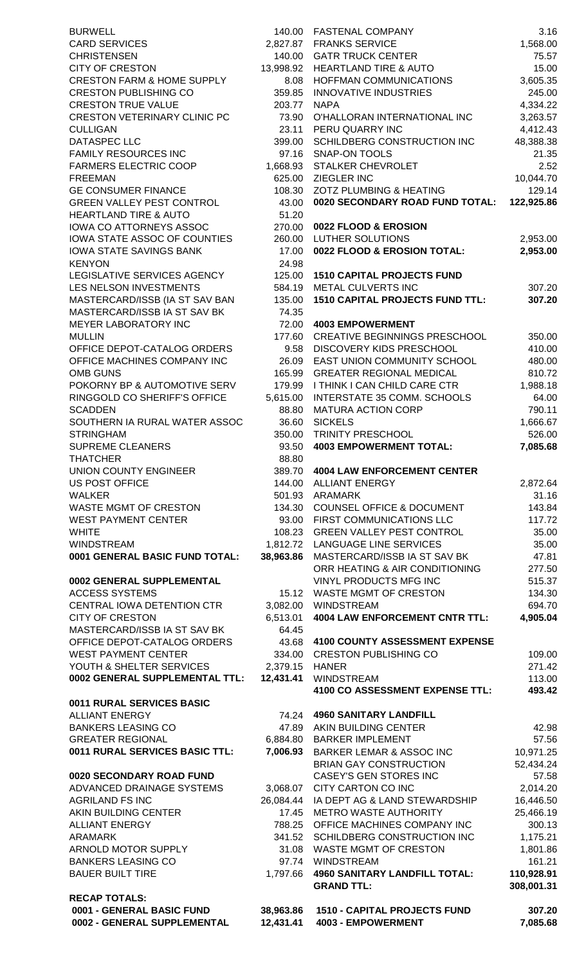| <b>BURWELL</b>                                                        |                  | 140.00 FASTENAL COMPANY                                              |
|-----------------------------------------------------------------------|------------------|----------------------------------------------------------------------|
| <b>CARD SERVICES</b>                                                  |                  | 2,827.87 FRANKS SERVICE                                              |
| <b>CHRISTENSEN</b>                                                    |                  | 140.00 GATR TRUCK CENTER                                             |
| <b>CITY OF CRESTON</b>                                                | 13,998.92        | <b>HEARTLAND TIRE &amp; AUTO</b>                                     |
| <b>CRESTON FARM &amp; HOME SUPPLY</b><br><b>CRESTON PUBLISHING CO</b> | 8.08             | <b>HOFFMAN COMMUNICATIONS</b><br><b>INNOVATIVE INDUSTRIES</b>        |
| <b>CRESTON TRUE VALUE</b>                                             | 359.85<br>203.77 | <b>NAPA</b>                                                          |
| <b>CRESTON VETERINARY CLINIC PC</b>                                   | 73.90            | O'HALLORAN INTERNATIONAL INC                                         |
| <b>CULLIGAN</b>                                                       | 23.11            | PERU QUARRY INC                                                      |
| <b>DATASPEC LLC</b>                                                   | 399.00           | SCHILDBERG CONSTRUCTION INC                                          |
| <b>FAMILY RESOURCES INC</b>                                           | 97.16            | <b>SNAP-ON TOOLS</b>                                                 |
| <b>FARMERS ELECTRIC COOP</b>                                          | 1,668.93         | <b>STALKER CHEVROLET</b>                                             |
| <b>FREEMAN</b>                                                        | 625.00           | ZIEGLER INC                                                          |
| <b>GE CONSUMER FINANCE</b><br><b>GREEN VALLEY PEST CONTROL</b>        | 108.30           | <b>ZOTZ PLUMBING &amp; HEATING</b><br>0020 SECONDARY ROAD FUND TOTAL |
| <b>HEARTLAND TIRE &amp; AUTO</b>                                      | 43.00<br>51.20   |                                                                      |
| <b>IOWA CO ATTORNEYS ASSOC</b>                                        | 270.00           | 0022 FLOOD & EROSION                                                 |
| IOWA STATE ASSOC OF COUNTIES                                          | 260.00           | LUTHER SOLUTIONS                                                     |
| <b>IOWA STATE SAVINGS BANK</b>                                        | 17.00            | 0022 FLOOD & EROSION TOTAL:                                          |
| <b>KENYON</b>                                                         | 24.98            |                                                                      |
| LEGISLATIVE SERVICES AGENCY                                           | 125.00           | <b>1510 CAPITAL PROJECTS FUND</b>                                    |
| LES NELSON INVESTMENTS                                                | 584.19           | <b>METAL CULVERTS INC</b>                                            |
| MASTERCARD/ISSB (IA ST SAV BAN                                        | 135.00           | <b>1510 CAPITAL PROJECTS FUND TTL:</b>                               |
| MASTERCARD/ISSB IA ST SAV BK<br><b>MEYER LABORATORY INC</b>           | 74.35<br>72.00   | <b>4003 EMPOWERMENT</b>                                              |
| <b>MULLIN</b>                                                         | 177.60           | <b>CREATIVE BEGINNINGS PRESCHOOL</b>                                 |
| OFFICE DEPOT-CATALOG ORDERS                                           | 9.58             | <b>DISCOVERY KIDS PRESCHOOL</b>                                      |
| OFFICE MACHINES COMPANY INC                                           | 26.09            | EAST UNION COMMUNITY SCHOOL                                          |
| <b>OMB GUNS</b>                                                       | 165.99           | <b>GREATER REGIONAL MEDICAL</b>                                      |
| POKORNY BP & AUTOMOTIVE SERV                                          | 179.99           | I THINK I CAN CHILD CARE CTR                                         |
| RINGGOLD CO SHERIFF'S OFFICE                                          | 5,615.00         | INTERSTATE 35 COMM. SCHOOLS                                          |
| <b>SCADDEN</b>                                                        | 88.80            | <b>MATURA ACTION CORP</b>                                            |
| SOUTHERN IA RURAL WATER ASSOC<br><b>STRINGHAM</b>                     | 36.60<br>350.00  | <b>SICKELS</b><br><b>TRINITY PRESCHOOL</b>                           |
| <b>SUPREME CLEANERS</b>                                               | 93.50            | <b>4003 EMPOWERMENT TOTAL:</b>                                       |
| <b>THATCHER</b>                                                       | 88.80            |                                                                      |
| <b>UNION COUNTY ENGINEER</b>                                          | 389.70           | <b>4004 LAW ENFORCEMENT CENTER</b>                                   |
| <b>US POST OFFICE</b>                                                 | 144.00           | <b>ALLIANT ENERGY</b>                                                |
| <b>WALKER</b>                                                         | 501.93           | ARAMARK                                                              |
| <b>WASTE MGMT OF CRESTON</b>                                          | 134.30           | <b>COUNSEL OFFICE &amp; DOCUMENT</b>                                 |
| <b>WEST PAYMENT CENTER</b>                                            | 93.00<br>108.23  | FIRST COMMUNICATIONS LLC<br><b>GREEN VALLEY PEST CONTROL</b>         |
| <b>WHITE</b><br><b>WINDSTREAM</b>                                     |                  | 1,812.72 LANGUAGE LINE SERVICES                                      |
| 0001 GENERAL BASIC FUND TOTAL:                                        | 38,963.86        | MASTERCARD/ISSB IA ST SAV BK                                         |
|                                                                       |                  | ORR HEATING & AIR CONDITIONING                                       |
| 0002 GENERAL SUPPLEMENTAL                                             |                  | VINYL PRODUCTS MFG INC                                               |
| <b>ACCESS SYSTEMS</b>                                                 | 15.12            | <b>WASTE MGMT OF CRESTON</b>                                         |
| CENTRAL IOWA DETENTION CTR                                            | 3,082.00         | <b>WINDSTREAM</b>                                                    |
| <b>CITY OF CRESTON</b>                                                | 6,513.01         | <b>4004 LAW ENFORCEMENT CNTR TTL:</b>                                |
| MASTERCARD/ISSB IA ST SAV BK<br>OFFICE DEPOT-CATALOG ORDERS           | 64.45<br>43.68   | <b>4100 COUNTY ASSESSMENT EXPENSE</b>                                |
| <b>WEST PAYMENT CENTER</b>                                            | 334.00           | <b>CRESTON PUBLISHING CO</b>                                         |
| YOUTH & SHELTER SERVICES                                              | 2,379.15         | <b>HANER</b>                                                         |
| 0002 GENERAL SUPPLEMENTAL TTL:                                        | 12,431.41        | <b>WINDSTREAM</b>                                                    |
|                                                                       |                  | 4100 CO ASSESSMENT EXPENSE TTL:                                      |
| 0011 RURAL SERVICES BASIC                                             |                  |                                                                      |
| <b>ALLIANT ENERGY</b>                                                 | 74.24            | <b>4960 SANITARY LANDFILL</b>                                        |
| <b>BANKERS LEASING CO</b>                                             |                  | 47.89 AKIN BUILDING CENTER                                           |
| <b>GREATER REGIONAL</b><br>0011 RURAL SERVICES BASIC TTL:             | 7,006.93         | 6,884.80 BARKER IMPLEMENT<br><b>BARKER LEMAR &amp; ASSOC INC</b>     |
|                                                                       |                  | <b>BRIAN GAY CONSTRUCTION</b>                                        |
| 0020 SECONDARY ROAD FUND                                              |                  | <b>CASEY'S GEN STORES INC</b>                                        |
| ADVANCED DRAINAGE SYSTEMS                                             | 3,068.07         | <b>CITY CARTON CO INC</b>                                            |
| <b>AGRILAND FS INC</b>                                                | 26,084.44        | IA DEPT AG & LAND STEWARDSHIP                                        |
| AKIN BUILDING CENTER                                                  | 17.45            | <b>METRO WASTE AUTHORITY</b>                                         |
| <b>ALLIANT ENERGY</b>                                                 | 788.25           | OFFICE MACHINES COMPANY INC                                          |
| <b>ARAMARK</b><br>ARNOLD MOTOR SUPPLY                                 | 341.52           | SCHILDBERG CONSTRUCTION INC<br>WASTE MGMT OF CRESTON                 |
| <b>BANKERS LEASING CO</b>                                             | 31.08<br>97.74   | <b>WINDSTREAM</b>                                                    |
| <b>BAUER BUILT TIRE</b>                                               | 1,797.66         | <b>4960 SANITARY LANDFILL TOTAL:</b>                                 |
|                                                                       |                  | <b>GRAND TTL:</b>                                                    |
| <b>RECAP TOTALS:</b>                                                  |                  |                                                                      |
| 0001 - GENERAL BASIC FUND                                             | 38,963.86        | <b>1510 - CAPITAL PROJECTS FUND</b>                                  |

| 0001 - GENERAL BASIC FUND<br>0002 - GENERAL SUPPLEMENTAL       | 38,963.86<br>12,431.41 | <b>1510 - CAPITAL PROJECTS FUND</b><br>4003 - EMPOWERMENT      | 307.20<br>7,085.68    |
|----------------------------------------------------------------|------------------------|----------------------------------------------------------------|-----------------------|
| <b>RECAP TOTALS:</b>                                           |                        |                                                                |                       |
|                                                                |                        | <b>GRAND TTL:</b>                                              | 308,001.31            |
| <b>BAUER BUILT TIRE</b>                                        | 1,797.66               | <b>4960 SANITARY LANDFILL TOTAL:</b>                           | 110,928.91            |
| <b>BANKERS LEASING CO</b>                                      |                        | 97.74 WINDSTREAM                                               | 161.21                |
| <b>ARNOLD MOTOR SUPPLY</b>                                     | 31.08                  | <b>WASTE MGMT OF CRESTON</b>                                   | 1,801.86              |
| <b>ARAMARK</b>                                                 | 341.52                 | SCHILDBERG CONSTRUCTION INC                                    | 1,175.21              |
| AKIN BUILDING CENTER<br>ALLIANT ENERGY                         | 17.45<br>788.25        | <b>METRO WASTE AUTHORITY</b><br>OFFICE MACHINES COMPANY INC    | 25,466.19<br>300.13   |
| AGRILAND FS INC                                                | 26,084.44              | IA DEPT AG & LAND STEWARDSHIP                                  | 16,446.50             |
| ADVANCED DRAINAGE SYSTEMS                                      | 3,068.07               | CITY CARTON CO INC                                             | 2,014.20              |
| 0020 SECONDARY ROAD FUND                                       |                        | <b>CASEY'S GEN STORES INC</b>                                  | 57.58                 |
|                                                                |                        | <b>BRIAN GAY CONSTRUCTION</b>                                  | 52,434.24             |
| 0011 RURAL SERVICES BASIC TTL:                                 | 7,006.93               | <b>BARKER LEMAR &amp; ASSOC INC</b>                            | 10,971.25             |
| <b>GREATER REGIONAL</b>                                        | 6,884.80               | <b>BARKER IMPLEMENT</b>                                        | 57.56                 |
| <b>BANKERS LEASING CO</b>                                      | 47.89                  | AKIN BUILDING CENTER                                           | 42.98                 |
| <b>ALLIANT ENERGY</b>                                          | 74.24                  | <b>4960 SANITARY LANDFILL</b>                                  |                       |
| <b>0011 RURAL SERVICES BASIC</b>                               |                        | 4100 CO ASSESSMENT EXPENSE TTL:                                | 493.42                |
| 0002 GENERAL SUPPLEMENTAL TTL:                                 | 12,431.41              | <b>WINDSTREAM</b>                                              | 113.00                |
| YOUTH & SHELTER SERVICES                                       | 2,379.15               | <b>HANER</b>                                                   | 271.42                |
| WEST PAYMENT CENTER                                            | 334.00                 | <b>CRESTON PUBLISHING CO</b>                                   | 109.00                |
| OFFICE DEPOT-CATALOG ORDERS                                    | 43.68                  | <b>4100 COUNTY ASSESSMENT EXPENSE</b>                          |                       |
| MASTERCARD/ISSB IA ST SAV BK                                   | 64.45                  |                                                                |                       |
| <b>CITY OF CRESTON</b>                                         | 6,513.01               | <b>4004 LAW ENFORCEMENT CNTR TTL:</b>                          | 4,905.04              |
| CENTRAL IOWA DETENTION CTR                                     | 3,082.00               | WINDSTREAM                                                     | 694.70                |
| <b>ACCESS SYSTEMS</b>                                          | 15.12                  | <b>WASTE MGMT OF CRESTON</b>                                   | 134.30                |
| <b>0002 GENERAL SUPPLEMENTAL</b>                               |                        | <b>VINYL PRODUCTS MFG INC</b>                                  | 515.37                |
|                                                                |                        | ORR HEATING & AIR CONDITIONING                                 | 277.50                |
| WINDSTREAM<br>0001 GENERAL BASIC FUND TOTAL:                   | 1,812.72<br>38,963.86  | <b>LANGUAGE LINE SERVICES</b><br>MASTERCARD/ISSB IA ST SAV BK  | 35.00<br>47.81        |
| WHITE                                                          | 108.23                 | <b>GREEN VALLEY PEST CONTROL</b>                               | 35.00                 |
| WEST PAYMENT CENTER                                            | 93.00                  | FIRST COMMUNICATIONS LLC                                       | 117.72                |
| WASTE MGMT OF CRESTON                                          | 134.30                 | <b>COUNSEL OFFICE &amp; DOCUMENT</b>                           | 143.84                |
| <b>WALKER</b>                                                  | 501.93                 | <b>ARAMARK</b>                                                 | 31.16                 |
| US POST OFFICE                                                 | 144.00                 | <b>ALLIANT ENERGY</b>                                          | 2,872.64              |
| UNION COUNTY ENGINEER                                          | 389.70                 | <b>4004 LAW ENFORCEMENT CENTER</b>                             |                       |
| <b>THATCHER</b>                                                | 88.80                  |                                                                |                       |
| SUPREME CLEANERS                                               | 93.50                  | <b>4003 EMPOWERMENT TOTAL:</b>                                 | 7,085.68              |
| STRINGHAM                                                      | 350.00                 | <b>TRINITY PRESCHOOL</b>                                       | 526.00                |
| SOUTHERN IA RURAL WATER ASSOC                                  | 36.60                  | <b>SICKELS</b>                                                 | 1,666.67              |
| <b>SCADDEN</b>                                                 | 88.80                  | MATURA ACTION CORP                                             | 790.11                |
| RINGGOLD CO SHERIFF'S OFFICE                                   | 5,615.00               | INTERSTATE 35 COMM. SCHOOLS                                    | 64.00                 |
| POKORNY BP & AUTOMOTIVE SERV                                   | 179.99                 | I THINK I CAN CHILD CARE CTR                                   | 1,988.18              |
| OFFICE MACHINES COMPANY INC<br>OMB GUNS                        | 26.09<br>165.99        | EAST UNION COMMUNITY SCHOOL<br><b>GREATER REGIONAL MEDICAL</b> | 480.00<br>810.72      |
| OFFICE DEPOT-CATALOG ORDERS                                    | 9.58                   | DISCOVERY KIDS PRESCHOOL                                       | 410.00                |
| MULLIN                                                         | 177.60                 | <b>CREATIVE BEGINNINGS PRESCHOOL</b>                           | 350.00                |
| <b>MEYER LABORATORY INC</b>                                    | 72.00                  | <b>4003 EMPOWERMENT</b>                                        |                       |
| MASTERCARD/ISSB IA ST SAV BK                                   | 74.35                  |                                                                |                       |
| MASTERCARD/ISSB (IA ST SAV BAN                                 | 135.00                 | <b>1510 CAPITAL PROJECTS FUND TTL:</b>                         | 307.20                |
| <b>LES NELSON INVESTMENTS</b>                                  | 584.19                 | METAL CULVERTS INC                                             | 307.20                |
| LEGISLATIVE SERVICES AGENCY                                    | 125.00                 | <b>1510 CAPITAL PROJECTS FUND</b>                              |                       |
| <b>KENYON</b>                                                  | 24.98                  |                                                                |                       |
| IOWA STATE ASSOC OF COUNTIES<br><b>IOWA STATE SAVINGS BANK</b> | 260.00<br>17.00        | LUTHER SOLUTIONS<br>0022 FLOOD & EROSION TOTAL:                | 2,953.00<br>2,953.00  |
| <b>IOWA CO ATTORNEYS ASSOC</b>                                 | 270.00                 | 0022 FLOOD & EROSION                                           |                       |
| <b>HEARTLAND TIRE &amp; AUTO</b>                               | 51.20                  |                                                                |                       |
| <b>GREEN VALLEY PEST CONTROL</b>                               | 43.00                  | 0020 SECONDARY ROAD FUND TOTAL:                                | 122,925.86            |
| <b>GE CONSUMER FINANCE</b>                                     | 108.30                 | <b>ZOTZ PLUMBING &amp; HEATING</b>                             | 129.14                |
| <b>FREEMAN</b>                                                 | 625.00                 | <b>ZIEGLER INC</b>                                             | 10,044.70             |
| <b>FARMERS ELECTRIC COOP</b>                                   | 1,668.93               | STALKER CHEVROLET                                              | 2.52                  |
| <b>FAMILY RESOURCES INC</b>                                    | 97.16                  | <b>SNAP-ON TOOLS</b>                                           | 21.35                 |
| <b>CULLIGAN</b><br>DATASPEC LLC                                | 23.11<br>399.00        | PERU QUARRY INC<br>SCHILDBERG CONSTRUCTION INC                 | 4,412.43<br>48,388.38 |
| CRESTON VETERINARY CLINIC PC                                   | 73.90                  | O'HALLORAN INTERNATIONAL INC                                   | 3,263.57              |
| <b>CRESTON TRUE VALUE</b>                                      | 203.77                 | <b>NAPA</b>                                                    | 4,334.22              |
| <b>CRESTON PUBLISHING CO</b>                                   | 359.85                 | <b>INNOVATIVE INDUSTRIES</b>                                   | 245.00                |
| <b>CRESTON FARM &amp; HOME SUPPLY</b>                          | 8.08                   | HOFFMAN COMMUNICATIONS                                         | 3,605.35              |
| <b>CITY OF CRESTON</b>                                         | 13,998.92              | <b>HEARTLAND TIRE &amp; AUTO</b>                               | 15.00                 |
| CHRISTENSEN                                                    | 140.00                 | <b>GATR TRUCK CENTER</b>                                       | 75.57                 |
| <b>BURWELL</b><br><b>CARD SERVICES</b>                         | 140.00<br>2,827.87     | <b>FASTENAL COMPANY</b><br><b>FRANKS SERVICE</b>               | 3.16<br>1,568.00      |
|                                                                |                        |                                                                |                       |